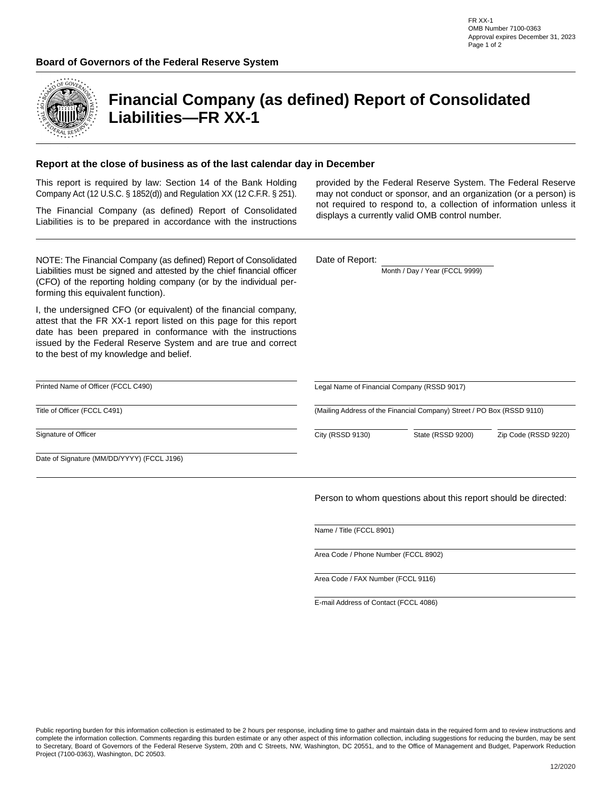

## **Financial Company (as defined) Report of Consolidated Liabilities—FR XX-1**

## **Report at the close of business as of the last calendar day in December**

This report is required by law: Section 14 of the Bank Holding Company Act (12 U.S.C. § 1852(d)) and Regulation XX (12 C.F.R. § 251).

The Financial Company (as defined) Report of Consolidated Liabilities is to be prepared in accordance with the instructions provided by the Federal Reserve System. The Federal Reserve may not conduct or sponsor, and an organization (or a person) is not required to respond to, a collection of information unless it displays a currently valid OMB control number.

| NOTE: The Financial Company (as defined) Report of Consolidated<br>Liabilities must be signed and attested by the chief financial officer<br>(CFO) of the reporting holding company (or by the individual per-<br>forming this equivalent function).                                                              | Date of Report:                                                        | Month / Day / Year (FCCL 9999) |                      |  |
|-------------------------------------------------------------------------------------------------------------------------------------------------------------------------------------------------------------------------------------------------------------------------------------------------------------------|------------------------------------------------------------------------|--------------------------------|----------------------|--|
| I, the undersigned CFO (or equivalent) of the financial company,<br>attest that the FR XX-1 report listed on this page for this report<br>date has been prepared in conformance with the instructions<br>issued by the Federal Reserve System and are true and correct<br>to the best of my knowledge and belief. |                                                                        |                                |                      |  |
| Printed Name of Officer (FCCL C490)                                                                                                                                                                                                                                                                               | Legal Name of Financial Company (RSSD 9017)                            |                                |                      |  |
| Title of Officer (FCCL C491)                                                                                                                                                                                                                                                                                      | (Mailing Address of the Financial Company) Street / PO Box (RSSD 9110) |                                |                      |  |
| Signature of Officer                                                                                                                                                                                                                                                                                              | City (RSSD 9130)                                                       | State (RSSD 9200)              | Zip Code (RSSD 9220) |  |
| Date of Signature (MM/DD/YYYY) (FCCL J196)                                                                                                                                                                                                                                                                        |                                                                        |                                |                      |  |

Person to whom questions about this report should be directed:

Name / Title (FCCL 8901)

Area Code / Phone Number (FCCL 8902)

Area Code / FAX Number (FCCL 9116)

E-mail Address of Contact (FCCL 4086)